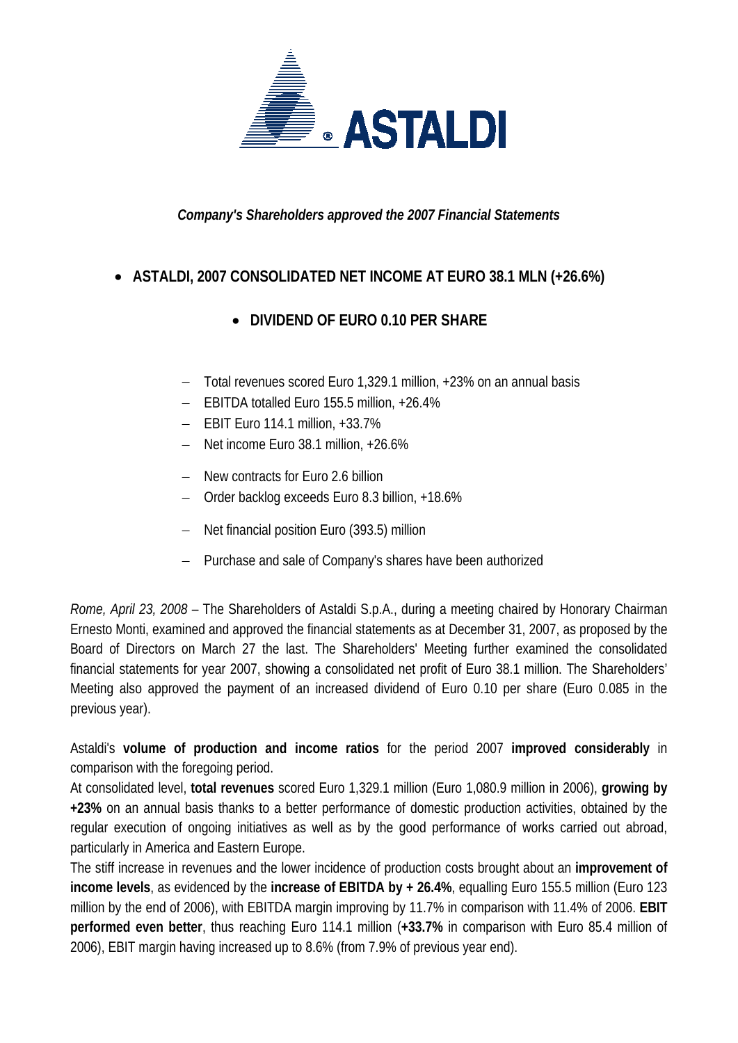

*Company's Shareholders approved the 2007 Financial Statements* 

## • **ASTALDI, 2007 CONSOLIDATED NET INCOME AT EURO 38.1 MLN (+26.6%)**

## • **DIVIDEND OF EURO 0.10 PER SHARE**

- − Total revenues scored Euro 1,329.1 million, +23% on an annual basis
- − EBITDA totalled Euro 155.5 million, +26.4%
- − EBIT Euro 114.1 million, +33.7%
- − Net income Euro 38.1 million, +26.6%
- − New contracts for Euro 2.6 billion
- − Order backlog exceeds Euro 8.3 billion, +18.6%
- − Net financial position Euro (393.5) million
- − Purchase and sale of Company's shares have been authorized

*Rome, April 23, 2008* – The Shareholders of Astaldi S.p.A., during a meeting chaired by Honorary Chairman Ernesto Monti, examined and approved the financial statements as at December 31, 2007, as proposed by the Board of Directors on March 27 the last. The Shareholders' Meeting further examined the consolidated financial statements for year 2007, showing a consolidated net profit of Euro 38.1 million. The Shareholders' Meeting also approved the payment of an increased dividend of Euro 0.10 per share (Euro 0.085 in the previous year).

Astaldi's **volume of production and income ratios** for the period 2007 **improved considerably** in comparison with the foregoing period.

At consolidated level, **total revenues** scored Euro 1,329.1 million (Euro 1,080.9 million in 2006), **growing by +23%** on an annual basis thanks to a better performance of domestic production activities, obtained by the regular execution of ongoing initiatives as well as by the good performance of works carried out abroad, particularly in America and Eastern Europe.

The stiff increase in revenues and the lower incidence of production costs brought about an **improvement of income levels**, as evidenced by the **increase of EBITDA by + 26.4%**, equalling Euro 155.5 million (Euro 123 million by the end of 2006), with EBITDA margin improving by 11.7% in comparison with 11.4% of 2006. **EBIT performed even better**, thus reaching Euro 114.1 million (**+33.7%** in comparison with Euro 85.4 million of 2006), EBIT margin having increased up to 8.6% (from 7.9% of previous year end).